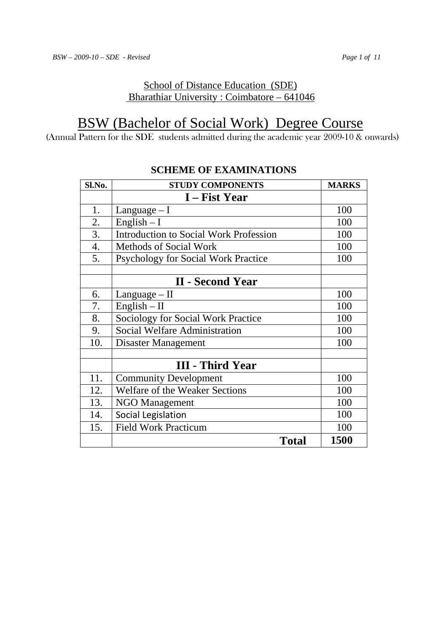# School of Distance Education (SDE) Bharathiar University : Coimbatore – 641046

# BSW (Bachelor of Social Work) Degree Course

(Annual Pattern for the SDE students admitted during the academic year 2009-10 & onwards)

| Sl.No. | <b>STUDY COMPONENTS</b>                       | <b>MARKS</b> |
|--------|-----------------------------------------------|--------------|
|        | I – Fist Year                                 |              |
| 1.     | Language $- I$                                | 100          |
| 2.     | English $-I$                                  | 100          |
| 3.     | <b>Introduction to Social Work Profession</b> | 100          |
| 4.     | <b>Methods of Social Work</b>                 | 100          |
| 5.     | Psychology for Social Work Practice           | 100          |
|        |                                               |              |
|        | <b>II - Second Year</b>                       |              |
| 6.     | $Language - II$                               | 100          |
| 7.     | $English - II$                                | 100          |
| 8.     | Sociology for Social Work Practice            | 100          |
| 9.     | Social Welfare Administration                 | 100          |
| 10.    | Disaster Management                           | 100          |
|        |                                               |              |
|        | <b>III</b> - Third Year                       |              |
| 11.    | <b>Community Development</b>                  | 100          |
| 12.    | Welfare of the Weaker Sections                | 100          |
| 13.    | <b>NGO Management</b>                         | 100          |
| 14.    | Social Legislation                            | 100          |
| 15.    | <b>Field Work Practicum</b>                   | 100          |
|        | <b>Total</b>                                  | 1500         |

# **SCHEME OF EXAMINATIONS**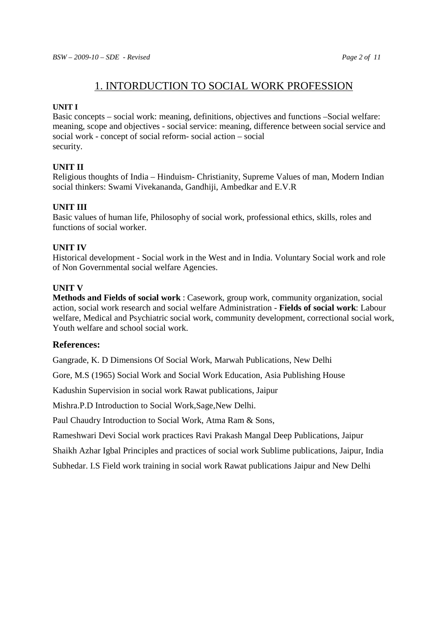# 1. INTORDUCTION TO SOCIAL WORK PROFESSION

#### **UNIT I**

Basic concepts – social work: meaning, definitions, objectives and functions –Social welfare: meaning, scope and objectives - social service: meaning, difference between social service and social work - concept of social reform- social action – social security.

#### **UNIT II**

Religious thoughts of India – Hinduism- Christianity, Supreme Values of man, Modern Indian social thinkers: Swami Vivekananda, Gandhiji, Ambedkar and E.V.R

#### **UNIT III**

Basic values of human life, Philosophy of social work, professional ethics, skills, roles and functions of social worker.

#### **UNIT IV**

Historical development - Social work in the West and in India. Voluntary Social work and role of Non Governmental social welfare Agencies.

#### **UNIT V**

**Methods and Fields of social work** : Casework, group work, community organization, social action, social work research and social welfare Administration - **Fields of social work**: Labour welfare, Medical and Psychiatric social work, community development, correctional social work, Youth welfare and school social work.

#### **References:**

Gangrade, K. D Dimensions Of Social Work, Marwah Publications, New Delhi

Gore, M.S (1965) Social Work and Social Work Education, Asia Publishing House

Kadushin Supervision in social work Rawat publications, Jaipur

Mishra.P.D Introduction to Social Work,Sage,New Delhi.

Paul Chaudry Introduction to Social Work, Atma Ram & Sons,

Rameshwari Devi Social work practices Ravi Prakash Mangal Deep Publications, Jaipur

Shaikh Azhar Igbal Principles and practices of social work Sublime publications, Jaipur, India

Subhedar. I.S Field work training in social work Rawat publications Jaipur and New Delhi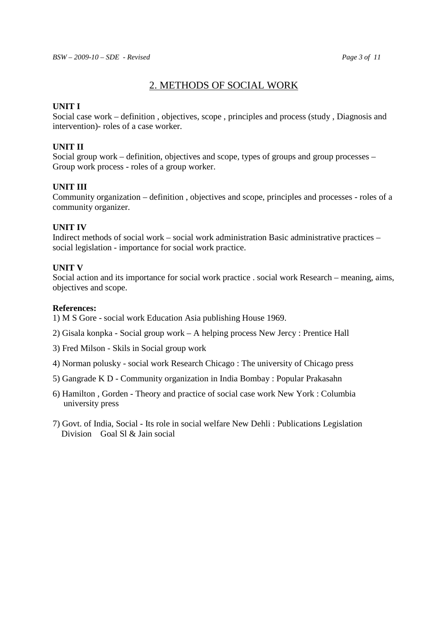## 2. METHODS OF SOCIAL WORK

#### **UNIT I**

Social case work – definition , objectives, scope , principles and process (study , Diagnosis and intervention)- roles of a case worker.

#### **UNIT II**

Social group work – definition, objectives and scope, types of groups and group processes – Group work process - roles of a group worker.

#### **UNIT III**

Community organization – definition , objectives and scope, principles and processes - roles of a community organizer.

### **UNIT IV**

Indirect methods of social work – social work administration Basic administrative practices – social legislation - importance for social work practice.

#### **UNIT V**

Social action and its importance for social work practice . social work Research – meaning, aims, objectives and scope.

#### **References:**

1) M S Gore - social work Education Asia publishing House 1969.

2) Gisala konpka - Social group work – A helping process New Jercy : Prentice Hall

3) Fred Milson - Skils in Social group work

- 4) Norman polusky social work Research Chicago : The university of Chicago press
- 5) Gangrade K D Community organization in India Bombay : Popular Prakasahn
- 6) Hamilton , Gorden Theory and practice of social case work New York : Columbia university press
- 7) Govt. of India, Social Its role in social welfare New Dehli : Publications Legislation Division Goal SL & Jain social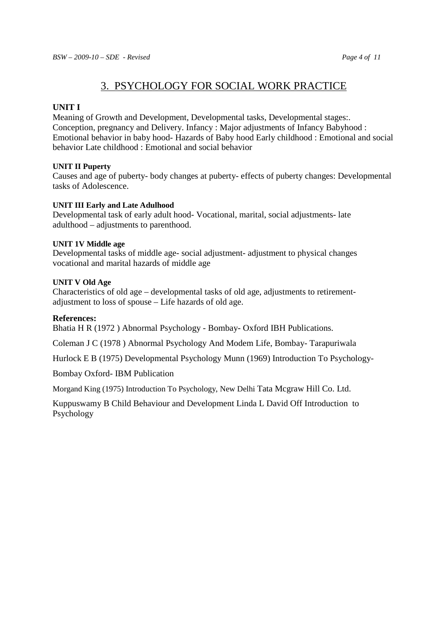# 3. PSYCHOLOGY FOR SOCIAL WORK PRACTICE

#### **UNIT I**

Meaning of Growth and Development, Developmental tasks, Developmental stages:. Conception, pregnancy and Delivery. Infancy : Major adjustments of Infancy Babyhood : Emotional behavior in baby hood- Hazards of Baby hood Early childhood : Emotional and social behavior Late childhood : Emotional and social behavior

#### **UNIT II Puperty**

Causes and age of puberty- body changes at puberty- effects of puberty changes: Developmental tasks of Adolescence.

#### **UNIT III Early and Late Adulhood**

Developmental task of early adult hood- Vocational, marital, social adjustments- late adulthood – adjustments to parenthood.

#### **UNIT 1V Middle age**

Developmental tasks of middle age- social adjustment- adjustment to physical changes vocational and marital hazards of middle age

#### **UNIT V Old Age**

Characteristics of old age – developmental tasks of old age, adjustments to retirementadjustment to loss of spouse – Life hazards of old age.

#### **References:**

Bhatia H R (1972 ) Abnormal Psychology - Bombay- Oxford IBH Publications.

Coleman J C (1978 ) Abnormal Psychology And Modem Life, Bombay- Tarapuriwala

Hurlock E B (1975) Developmental Psychology Munn (1969) Introduction To Psychology-

Bombay Oxford- IBM Publication

Morgand King (1975) Introduction To Psychology, New Delhi Tata Mcgraw Hill Co. Ltd.

Kuppuswamy B Child Behaviour and Development Linda L David Off Introduction to Psychology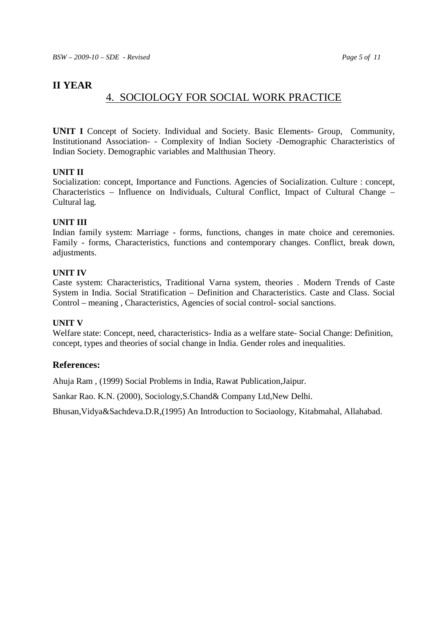# **II YEAR**

# 4. SOCIOLOGY FOR SOCIAL WORK PRACTICE

**UNIT I** Concept of Society. Individual and Society. Basic Elements- Group, Community, Institutionand Association- - Complexity of Indian Society -Demographic Characteristics of Indian Society. Demographic variables and Malthusian Theory.

#### **UNIT II**

Socialization: concept, Importance and Functions. Agencies of Socialization. Culture : concept, Characteristics – Influence on Individuals, Cultural Conflict, Impact of Cultural Change – Cultural lag.

#### **UNIT III**

Indian family system: Marriage - forms, functions, changes in mate choice and ceremonies. Family - forms, Characteristics, functions and contemporary changes. Conflict, break down, adjustments.

#### **UNIT IV**

Caste system: Characteristics, Traditional Varna system, theories . Modern Trends of Caste System in India. Social Stratification – Definition and Characteristics. Caste and Class. Social Control – meaning , Characteristics, Agencies of social control- social sanctions.

#### **UNIT V**

Welfare state: Concept, need, characteristics- India as a welfare state- Social Change: Definition, concept, types and theories of social change in India. Gender roles and inequalities.

#### **References:**

Ahuja Ram , (1999) Social Problems in India, Rawat Publication,Jaipur.

Sankar Rao. K.N. (2000), Sociology,S.Chand& Company Ltd,New Delhi.

Bhusan,Vidya&Sachdeva.D.R,(1995) An Introduction to Sociaology, Kitabmahal, Allahabad.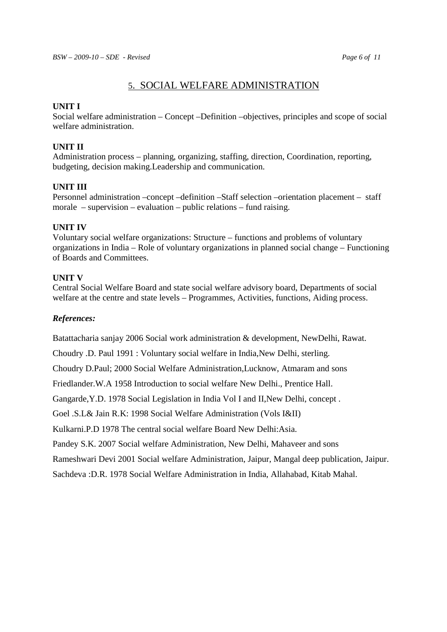## 5. SOCIAL WELFARE ADMINISTRATION

#### **UNIT I**

Social welfare administration – Concept –Definition –objectives, principles and scope of social welfare administration.

#### **UNIT II**

Administration process – planning, organizing, staffing, direction, Coordination, reporting, budgeting, decision making.Leadership and communication.

#### **UNIT III**

Personnel administration –concept –definition –Staff selection –orientation placement – staff morale – supervision – evaluation – public relations – fund raising.

#### **UNIT IV**

Voluntary social welfare organizations: Structure – functions and problems of voluntary organizations in India – Role of voluntary organizations in planned social change – Functioning of Boards and Committees.

#### **UNIT V**

Central Social Welfare Board and state social welfare advisory board, Departments of social welfare at the centre and state levels – Programmes, Activities, functions, Aiding process.

#### *References:*

Batattacharia sanjay 2006 Social work administration & development, NewDelhi, Rawat.

Choudry .D. Paul 1991 : Voluntary social welfare in India,New Delhi, sterling.

Choudry D.Paul; 2000 Social Welfare Administration,Lucknow, Atmaram and sons

Friedlander.W.A 1958 Introduction to social welfare New Delhi., Prentice Hall.

Gangarde,Y.D. 1978 Social Legislation in India Vol I and II,New Delhi, concept .

Goel .S.L& Jain R.K: 1998 Social Welfare Administration (Vols I&II)

Kulkarni.P.D 1978 The central social welfare Board New Delhi:Asia.

Pandey S.K. 2007 Social welfare Administration, New Delhi, Mahaveer and sons

Rameshwari Devi 2001 Social welfare Administration, Jaipur, Mangal deep publication, Jaipur.

Sachdeva :D.R. 1978 Social Welfare Administration in India, Allahabad, Kitab Mahal.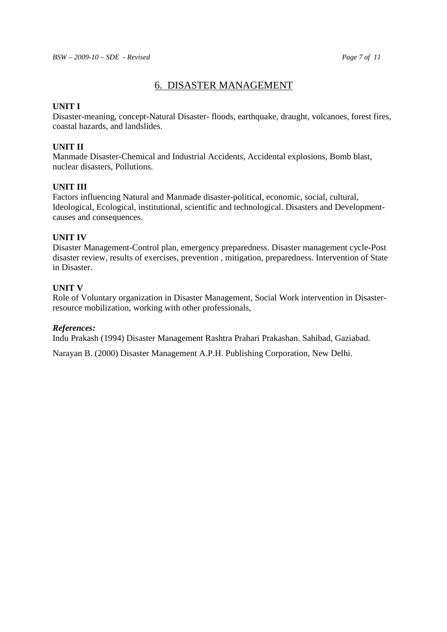## 6. DISASTER MANAGEMENT

#### **UNIT I**

Disaster-meaning, concept-Natural Disaster- floods, earthquake, draught, volcanoes, forest fires, coastal hazards, and landslides.

#### **UNIT II**

Manmade Disaster-Chemical and Industrial Accidents, Accidental explosions, Bomb blast, nuclear disasters, Pollutions.

#### **UNIT III**

Factors influencing Natural and Manmade disaster-political, economic, social, cultural, Ideological, Ecological, institutional, scientific and technological. Disasters and Developmentcauses and consequences.

#### **UNIT IV**

Disaster Management-Control plan, emergency preparedness. Disaster management cycle-Post disaster review, results of exercises, prevention , mitigation, preparedness. Intervention of State in Disaster.

#### **UNIT V**

Role of Voluntary organization in Disaster Management, Social Work intervention in Disasterresource mobilization, working with other professionals,

#### *References:*

Indu Prakash (1994) Disaster Management Rashtra Prahari Prakashan. Sahibad, Gaziabad.

Narayan B. (2000) Disaster Management A.P.H. Publishing Corporation, New Delhi.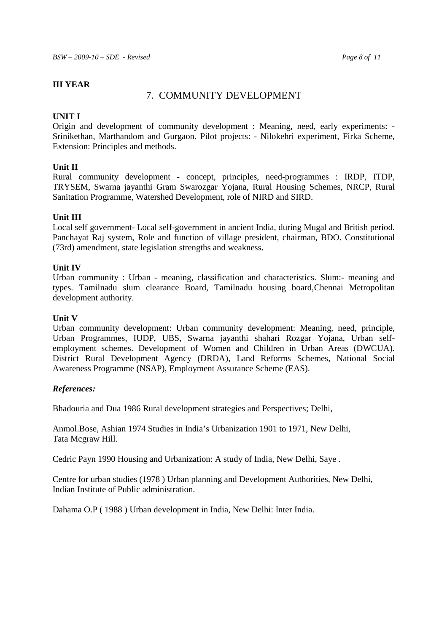#### **III YEAR**

#### 7. COMMUNITY DEVELOPMENT

#### **UNIT I**

Origin and development of community development : Meaning, need, early experiments: - Srinikethan, Marthandom and Gurgaon. Pilot projects: - Nilokehri experiment, Firka Scheme, Extension: Principles and methods.

#### **Unit II**

Rural community development - concept, principles, need-programmes : IRDP, ITDP, TRYSEM, Swarna jayanthi Gram Swarozgar Yojana, Rural Housing Schemes, NRCP, Rural Sanitation Programme, Watershed Development, role of NIRD and SIRD.

#### **Unit III**

Local self government- Local self-government in ancient India, during Mugal and British period. Panchayat Raj system, Role and function of village president, chairman, BDO. Constitutional (73rd) amendment, state legislation strengths and weakness**.** 

#### **Unit IV**

Urban community : Urban - meaning, classification and characteristics. Slum:- meaning and types. Tamilnadu slum clearance Board, Tamilnadu housing board,Chennai Metropolitan development authority.

#### **Unit V**

Urban community development: Urban community development: Meaning, need, principle, Urban Programmes, IUDP, UBS, Swarna jayanthi shahari Rozgar Yojana, Urban selfemployment schemes. Development of Women and Children in Urban Areas (DWCUA). District Rural Development Agency (DRDA), Land Reforms Schemes, National Social Awareness Programme (NSAP), Employment Assurance Scheme (EAS).

#### *References:*

Bhadouria and Dua 1986 Rural development strategies and Perspectives; Delhi,

Anmol.Bose, Ashian 1974 Studies in India's Urbanization 1901 to 1971, New Delhi, Tata Mcgraw Hill.

Cedric Payn 1990 Housing and Urbanization: A study of India, New Delhi, Saye .

Centre for urban studies (1978 ) Urban planning and Development Authorities, New Delhi, Indian Institute of Public administration.

Dahama O.P ( 1988 ) Urban development in India, New Delhi: Inter India.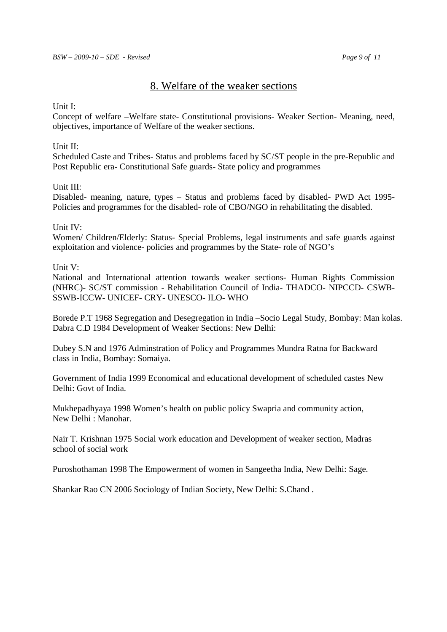# 8. Welfare of the weaker sections

#### Unit I:

Concept of welfare –Welfare state- Constitutional provisions- Weaker Section- Meaning, need, objectives, importance of Welfare of the weaker sections.

#### Unit II:

Scheduled Caste and Tribes- Status and problems faced by SC/ST people in the pre-Republic and Post Republic era- Constitutional Safe guards- State policy and programmes

#### Unit III:

Disabled- meaning, nature, types – Status and problems faced by disabled- PWD Act 1995- Policies and programmes for the disabled- role of CBO/NGO in rehabilitating the disabled.

#### Unit IV:

Women/ Children/Elderly: Status- Special Problems, legal instruments and safe guards against exploitation and violence- policies and programmes by the State- role of NGO's

#### Unit V:

National and International attention towards weaker sections- Human Rights Commission (NHRC)- SC/ST commission - Rehabilitation Council of India- THADCO- NIPCCD- CSWB-SSWB-ICCW- UNICEF- CRY- UNESCO- ILO- WHO

Borede P.T 1968 Segregation and Desegregation in India –Socio Legal Study, Bombay: Man kolas. Dabra C.D 1984 Development of Weaker Sections: New Delhi:

Dubey S.N and 1976 Adminstration of Policy and Programmes Mundra Ratna for Backward class in India, Bombay: Somaiya.

Government of India 1999 Economical and educational development of scheduled castes New Delhi: Govt of India.

Mukhepadhyaya 1998 Women's health on public policy Swapria and community action, New Delhi : Manohar.

Nair T. Krishnan 1975 Social work education and Development of weaker section, Madras school of social work

Puroshothaman 1998 The Empowerment of women in Sangeetha India, New Delhi: Sage.

Shankar Rao CN 2006 Sociology of Indian Society, New Delhi: S.Chand .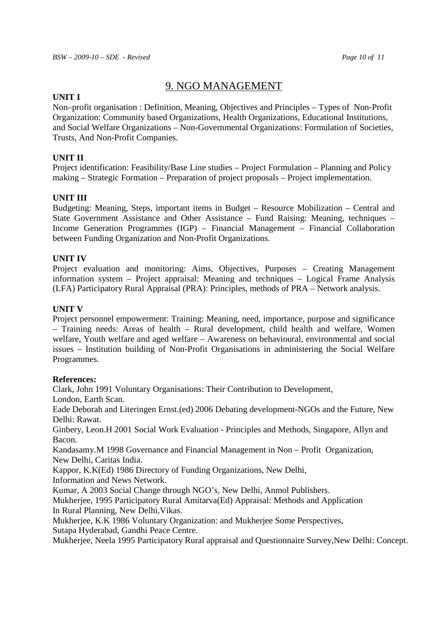# 9. NGO MANAGEMENT

#### **UNIT I**

Non–profit organisation : Definition, Meaning, Objectives and Principles – Types of Non-Profit Organization: Community based Organizations, Health Organizations, Educational Institutions, and Social Welfare Organizations – Non-Governmental Organizations: Formulation of Societies, Trusts, And Non-Profit Companies.

#### **UNIT II**

Project identification: Feasibility/Base Line studies – Project Formulation – Planning and Policy making – Strategic Formation – Preparation of project proposals – Project implementation.

#### **UNIT III**

Budgeting: Meaning, Steps, important items in Budget – Resource Mobilization – Central and State Government Assistance and Other Assistance – Fund Raising: Meaning, techniques – Income Generation Programmes (IGP) – Financial Management – Financial Collaboration between Funding Organization and Non-Profit Organizations.

#### **UNIT IV**

Project evaluation and monitoring: Aims, Objectives, Purposes – Creating Management information system – Project appraisal: Meaning and techniques – Logical Frame Analysis (LFA) Participatory Rural Appraisal (PRA): Principles, methods of PRA – Network analysis.

#### **UNIT V**

Project personnel empowerment: Training: Meaning, need, importance, purpose and significance – Training needs: Areas of health – Rural development, child health and welfare, Women welfare, Youth welfare and aged welfare – Awareness on behavioural, environmental and social issues – Institution building of Non-Profit Organisations in administering the Social Welfare Programmes.

#### **References:**

Clark, John 1991 Voluntary Organisations: Their Contribution to Development,

London, Earth Scan.

Eade Deborah and Literingen Ernst.(ed) 2006 Debating development-NGOs and the Future, New Delhi: Rawat.

Ginbery, Leon.H 2001 Social Work Evaluation - Principles and Methods, Singapore, Allyn and Bacon.

Kandasamy.M 1998 Governance and Financial Management in Non – Profit Organization, New Delhi, Caritas India.

Kappor, K.K(Ed) 1986 Directory of Funding Organizations, New Delhi,

Information and News Network.

Kumar, A 2003 Social Change through NGO's, New Delhi, Anmol Publishers.

Mukherjee, 1995 Participatory Rural Amitarva(Ed) Appraisal: Methods and Application In Rural Planning, New Delhi,Vikas.

Mukherjee, K.K 1986 Voluntary Organization: and Mukherjee Some Perspectives,

Sutapa Hyderabad, Gandhi Peace Centre.

Mukherjee, Neela 1995 Participatory Rural appraisal and Questionnaire Survey,New Delhi: Concept.